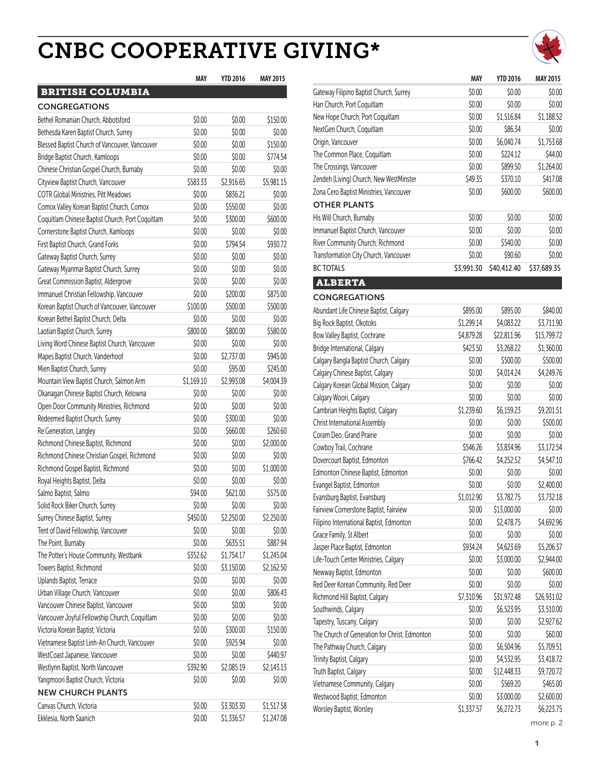### **CNBC COOPERATIVE GIVING\***



| <b>BRITISH COLUMBIA</b>                          |            |            |            |
|--------------------------------------------------|------------|------------|------------|
| <b>CONGREGATIONS</b>                             |            |            |            |
| Bethel Romanian Church, Abbotsford               | \$0.00     | \$0.00     | \$150.00   |
| Bethesda Karen Baptist Church, Surrey            | \$0.00     | \$0.00     | \$0.00     |
| Blessed Baptist Church of Vancouver, Vancouver   | \$0.00     | \$0.00     | \$150.00   |
| Bridge Baptist Church, Kamloops                  | \$0.00     | \$0.00     | \$774.54   |
| Chinese Christian Gospel Church, Burnaby         | \$0.00     | \$0.00     | \$0.00     |
| Cityview Baptist Church, Vancouver               | \$583.33   | \$2,916.65 | \$5,981.15 |
| <b>COTR Global Ministries, Pitt Meadows</b>      | \$0.00     | \$836.21   | \$0.00     |
| Comox Valley Korean Baptist Church, Comox        | \$0.00     | \$550.00   | \$0.00     |
| Coquitlam Chinese Baptist Church, Port Coquitlam | \$0.00     | \$300.00   | \$600.00   |
| Cornerstone Baptist Church, Kamloops             | \$0.00     | \$0.00     | \$0.00     |
| First Baptist Church, Grand Forks                | \$0.00     | \$794.54   | \$930.72   |
| Gateway Baptist Church, Surrey                   | \$0.00     | \$0.00     | \$0.00     |
| Gateway Myanmar Baptist Church, Surrey           | \$0.00     | \$0.00     | \$0.00     |
| Great Commission Baptist, Aldergrove             | \$0.00     | \$0.00     | \$0.00     |
| Immanuel Christian Fellowship, Vancouver         | \$0.00     | \$200.00   | \$875.00   |
| Korean Baptist Church of Vancouver, Vancouver    | \$100.00   | \$500.00   | \$500.00   |
| Korean Bethel Baptist Church, Delta              | \$0.00     | \$0.00     | \$0.00     |
| Laotian Baptist Church, Surrey                   | \$800.00   | \$800.00   | \$580.00   |
| Living Word Chinese Baptist Church, Vancouver    | \$0.00     | \$0.00     | \$0.00     |
| Mapes Baptist Church, Vanderhoof                 | \$0.00     | \$2,737.00 | \$945.00   |
| Mien Baptist Church, Surrey                      | \$0.00     | \$95.00    | \$245.00   |
| Mountain View Baptist Church, Salmon Arm         | \$1,169.10 | \$2,993.08 | \$4,004.39 |
| Okanagan Chinese Baptist Church, Kelowna         | \$0.00     | \$0.00     | \$0.00     |
| Open Door Community Ministries, Richmond         | \$0.00     | \$0.00     | \$0.00     |
| Redeemed Baptist Church, Surrey                  | \$0.00     | \$300.00   | \$0.00     |
| Re:Generation, Langley                           | \$0.00     | \$660.00   | \$260.60   |
| Richmond Chinese Baptist, Richmond               | \$0.00     | \$0.00     | \$2,000.00 |
| Richmond Chinese Christian Gospel, Richmond      | \$0.00     | \$0.00     | \$0.00     |
| Richmond Gospel Baptist, Richmond                | \$0.00     | \$0.00     | \$1,000.00 |
| Royal Heights Baptist, Delta                     | \$0.00     | \$0.00     | \$0.00     |
| Salmo Baptist, Salmo                             | \$94.00    | \$621.00   | \$575.00   |
| Solid Rock Biker Church, Surrey                  | \$0.00     | \$0.00     | \$0.00     |
| Surrey Chinese Baptist, Surrey                   | \$450.00   | \$2,250.00 | \$2,250.00 |
| Tent of David Fellowship, Vancouver              | \$0.00     | \$0.00     | \$0.00     |
| The Point, Burnaby                               | \$0.00     | \$635.51   | \$887.94   |
| The Potter's House Community, Westbank           | \$352.62   | \$1,754.17 | \$1,245.04 |
| Towers Baptist, Richmond                         | \$0.00     | \$3,150.00 | \$2,162.50 |
| Uplands Baptist, Terrace                         | \$0.00     | \$0.00     | \$0.00     |
| Urban Village Church, Vancouver                  | \$0.00     | \$0.00     | \$806.43   |
| Vancouver Chinese Baptist, Vancouver             | \$0.00     | \$0.00     | \$0.00     |
| Vancouver Joyful Fellowship Church, Coquitlam    | \$0.00     | \$0.00     | \$0.00     |
| Victoria Korean Baptist, Victoria                | \$0.00     | \$300.00   | \$150.00   |
| Vietnamese Baptist Linh-An Church, Vancouver     | \$0.00     | \$925.94   | \$0.00     |
| WestCoast Japanese, Vancouver                    | \$0.00     | \$0.00     | \$440.97   |
| Westlynn Baptist, North Vancouver                | \$392.90   | \$2,085.19 | \$2,143.13 |
| Yangmoori Baptist Church, Victoria               | \$0.00     | \$0.00     | \$0.00     |
| <b>NEW CHURCH PLANTS</b>                         |            |            |            |
| Canvas Church, Victoria                          | \$0.00     | \$3,303.30 | \$1,517.58 |
| Ekklesia, North Saanich                          | \$0.00     | \$1,336.57 | \$1,247.08 |

| MAY           | <b>YTD 2016</b>               | <b>MAY 2015</b>                |                                               | MAY        | <b>YTD 2016</b> | <b>MAY 2015</b> |
|---------------|-------------------------------|--------------------------------|-----------------------------------------------|------------|-----------------|-----------------|
|               |                               |                                | Gateway Filipino Baptist Church, Surrey       | \$0.00     | \$0.00          | \$0.00          |
|               |                               |                                | Han Church, Port Coquitlam                    | \$0.00     | \$0.00          | \$0.00          |
| 0.00          | \$0.00                        | \$150.00                       | New Hope Church, Port Coquitlam               | \$0.00     | \$1,516.84      | \$1,188.52      |
| 0.00          | \$0.00                        | \$0.00                         | NextGen Church, Coquitlam                     | \$0.00     | \$86.34         | \$0.00          |
| 0.00          | \$0.00                        | \$150.00                       | Origin, Vancouver                             | \$0.00     | \$6,040.74      | \$1,753.68      |
| 0.00          | \$0.00                        | \$774.54                       | The Common Place, Coquitlam                   | \$0.00     | \$224.12        | \$44.00         |
| 0.00          | \$0.00                        | \$0.00                         | The Crossings, Vancouver                      | \$0.00     | \$899.50        | \$1,264.00      |
| 333           | \$2,916.65                    | \$5,981.15                     | Zendeh (Living) Church, New WestMinster       | \$49.35    | \$370.10        | \$417.08        |
| 0.00          | \$836.21                      | \$0.00                         | Zona Cero Baptist Ministries, Vancouver       | \$0.00     | \$600.00        | \$600.00        |
| 0.00          | \$550.00                      | \$0.00                         | <b>OTHER PLANTS</b>                           |            |                 |                 |
| 0.00          | \$300.00                      | \$600.00                       | His Will Church, Burnaby                      | \$0.00     | \$0.00          | \$0.00          |
| 0.00          | \$0.00                        | \$0.00                         | Immanuel Baptist Church, Vancouver            | \$0.00     | \$0.00          | \$0.00          |
| 0.00          | \$794.54                      | \$930.72                       | River Community Church, Richmond              | \$0.00     | \$540.00        | \$0.00          |
| 0.00          | \$0.00                        | \$0.00                         | Transformation City Church, Vancouver         | \$0.00     | \$90.60         | \$0.00          |
| 0.00          | \$0.00                        | \$0.00                         | <b>BC TOTALS</b>                              | \$3,991.30 | \$40,412.40     | \$37,689.35     |
| 0.00          | \$0.00                        | \$0.00                         | <b>ALBERTA</b>                                |            |                 |                 |
| 0.00          | \$200.00                      | \$875.00                       |                                               |            |                 |                 |
| 0.00          | \$500.00                      | \$500.00                       | <b>CONGREGATIONS</b>                          |            |                 |                 |
| 0.00          | \$0.00                        | \$0.00                         | Abundant Life Chinese Baptist, Calgary        | \$895.00   | \$895.00        | \$840.00        |
| 0.00          | \$800.00                      | \$580.00                       | Big Rock Baptist, Okotoks                     | \$1,299.14 | \$4,083.22      | \$3,711.90      |
| 0.00          | \$0.00                        | \$0.00                         | Bow Valley Baptist, Cochrane                  | \$4,879.28 | \$22,811.96     | \$15,799.72     |
| 0.00          | \$2,737.00                    | \$945.00                       | Bridge International, Calgary                 | \$423.50   | \$3,268.22      | \$1,360.00      |
| 0.00          | \$95.00                       | \$245.00                       | Calgary Bangla Baptist Church, Calgary        | \$0.00     | \$500.00        | \$500.00        |
| 9.10          | \$2,993.08                    | \$4,004.39                     | Calgary Chinese Baptist, Calgary              | \$0.00     | \$4,014.24      | \$4,249.76      |
| 0.00          | \$0.00                        | \$0.00                         | Calgary Korean Global Mission, Calgary        | \$0.00     | \$0.00          | \$0.00          |
| 0.00          | \$0.00                        | \$0.00                         | Calgary Woori, Calgary                        | \$0.00     | \$0.00          | \$0.00          |
| 0.00          | \$300.00                      | \$0.00                         | Cambrian Heights Baptist, Calgary             | \$1,239.60 | \$6,159.23      | \$9,201.51      |
| 0.00          | \$660.00                      | \$260.60                       | Christ International Assembly                 | \$0.00     | \$0.00          | \$500.00        |
| 0.00          | \$0.00                        | \$2,000.00                     | Coram Deo, Grand Prairie                      | \$0.00     | \$0.00          | \$0.00          |
| 0.00          | \$0.00                        | \$0.00                         | Cowboy Trail, Cochrane                        | \$546.26   | \$3,834.96      | \$3,172.54      |
| 0.00          | \$0.00                        | \$1,000.00                     | Dovercourt Baptist, Edmonton                  | \$766.42   | \$4,252.52      | \$4,547.10      |
| 0.00          | \$0.00                        | \$0.00                         | Edmonton Chinese Baptist, Edmonton            | \$0.00     | \$0.00          | \$0.00          |
| 4.00          | \$621.00                      | \$575.00                       | Evangel Baptist, Edmonton                     | \$0.00     | \$0.00          | \$2,400.00      |
| 0.00          | \$0.00                        | \$0.00                         | Evansburg Baptist, Evansburg                  | \$1,012.90 | \$3,782.75      | \$3,732.18      |
| 0.00          | \$2,250.00                    | \$2,250.00                     | Fairview Cornerstone Baptist, Fairview        | \$0.00     | \$13,000.00     | \$0.00          |
| 0.00          | \$0.00                        | \$0.00                         | Filipino International Baptist, Edmonton      | \$0.00     | \$2,478.75      | \$4,692.96      |
| 0.00          | \$635.51                      | \$887.94                       | Grace Family, St Albert                       | \$0.00     | \$0.00          | \$0.00          |
| 2.62          | \$1,754.17                    | \$1,245.04                     | Jasper Place Baptist, Edmonton                | \$934.24   | \$4,623.69      | \$5,206.37      |
| 0.00          | \$3,150.00                    | \$2,162.50                     | Life-Touch Center Ministries, Calgary         | \$0.00     | \$3,000.00      | \$2,944.00      |
| 0.00          | \$0.00                        | \$0.00                         | Newway Baptist, Edmonton                      | \$0.00     | \$0.00          | \$600.00        |
| 0.00          | \$0.00                        | \$806.43                       | Red Deer Korean Community, Red Deer           | \$0.00     | \$0.00          | \$0.00          |
| 0.00          | \$0.00                        | \$0.00                         | Richmond Hill Baptist, Calgary                | \$7,310.96 | \$31,972.48     | \$26,931.02     |
| 0.00          | \$0.00                        | \$0.00                         | Southwinds, Calgary                           | \$0.00     | \$6,523.95      | \$3,510.00      |
| 0.00          | \$300.00                      | \$150.00                       | Tapestry, Tuscany, Calgary                    | \$0.00     | \$0.00          | \$2,927.62      |
| 0.00          | \$925.94                      | \$0.00                         | The Church of Generation for Christ, Edmonton | \$0.00     | \$0.00          | \$60.00         |
|               |                               |                                | The Pathway Church, Calgary                   | \$0.00     | \$6,504.96      | \$5,709.51      |
| 0.00<br>12.90 | \$0.00<br>\$2,085.19          | \$440.97<br>\$2,143.13         | Trinity Baptist, Calgary                      | \$0.00     | \$4,532.95      | \$3,418.72      |
| 0.00          | \$0.00                        | \$0.00                         | Truth Baptist, Calgary                        | \$0.00     | \$12,448.33     | \$9,720.72      |
|               |                               |                                | Vietnamese Community, Calgary                 | \$0.00     | \$569.20        | \$465.00        |
|               |                               |                                | Westwood Baptist, Edmonton                    | \$0.00     | \$3,000.00      | \$2,600.00      |
| 0.00<br>n nn  | \$3,303.30<br>$C1$ $ZZ6$ $57$ | \$1,517.58<br><b>C1 247 08</b> | Worsley Baptist, Worsley                      | \$1,337.57 | \$6,272.73      | \$6,223.75      |
|               |                               |                                |                                               |            |                 |                 |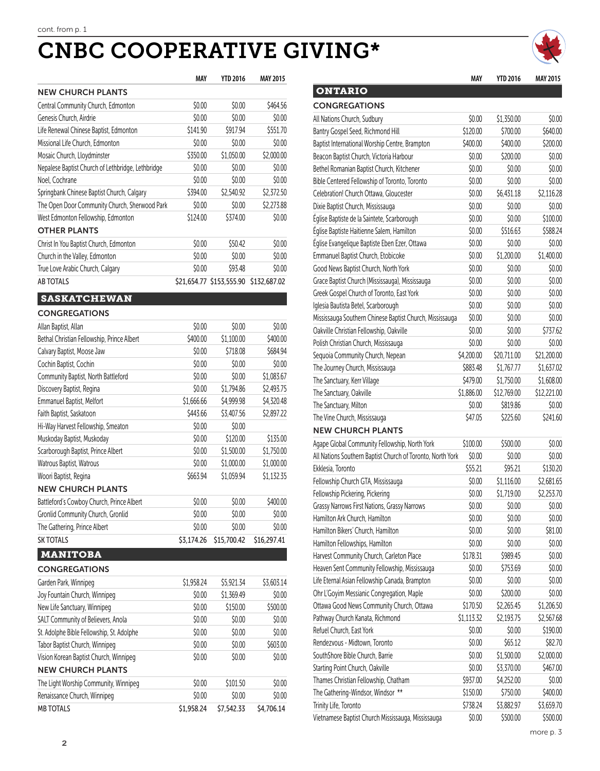# CNBC COOPERATIVE GIVING\* *cnbc*

|                                                   | MAY        | <b>YTD 2016</b>          | <b>MAY 2015</b> |
|---------------------------------------------------|------------|--------------------------|-----------------|
| <b>NEW CHURCH PLANTS</b>                          |            |                          |                 |
| Central Community Church, Edmonton                | \$0.00     | \$0.00                   | \$464.56        |
| Genesis Church, Airdrie                           | \$0.00     | \$0.00                   | \$0.00          |
| Life Renewal Chinese Baptist, Edmonton            | \$141.90   | \$917.94                 | \$551.70        |
| Missional Life Church, Edmonton                   | \$0.00     | \$0.00                   | \$0.00          |
| Mosaic Church, Lloydminster                       | \$350.00   | \$1,050.00               | \$2,000.00      |
| Nepalese Baptist Church of Lethbridge, Lethbridge | \$0.00     | \$0.00                   | \$0.00          |
| Noel, Cochrane                                    | \$0.00     | \$0.00                   | \$0.00          |
| Springbank Chinese Baptist Church, Calgary        | \$394.00   | \$2,540.92               | \$2,372.50      |
| The Open Door Community Church, Sherwood Park     | \$0.00     | \$0.00                   | \$2,273.88      |
| West Edmonton Fellowship, Edmonton                | \$124.00   | \$374.00                 | \$0.00          |
| <b>OTHER PLANTS</b>                               |            |                          |                 |
| Christ In You Baptist Church, Edmonton            | \$0.00     | \$50.42                  | \$0.00          |
| Church in the Valley, Edmonton                    | \$0.00     | \$0.00                   | \$0.00          |
| True Love Arabic Church, Calgary                  | \$0.00     | \$93.48                  | \$0.00          |
| <b>AB TOTALS</b>                                  |            | \$21,654.77 \$153,555.90 | \$132,687.02    |
|                                                   |            |                          |                 |
| <b>SASKATCHEWAN</b>                               |            |                          |                 |
| <b>CONGREGATIONS</b>                              |            |                          |                 |
| Allan Baptist, Allan                              | \$0.00     | \$0.00                   | \$0.00          |
| Bethal Christian Fellowship, Prince Albert        | \$400.00   | \$1,100.00               | \$400.00        |
| Calvary Baptist, Moose Jaw                        | \$0.00     | \$718.08                 | \$684.94        |
| Cochin Baptist, Cochin                            | \$0.00     | \$0.00                   | \$0.00          |
| Community Baptist, North Battleford               | \$0.00     | \$0.00                   | \$1,083.67      |
| Discovery Baptist, Regina                         | \$0.00     | \$1,794.86               | \$2,493.75      |
| <b>Emmanuel Baptist, Melfort</b>                  | \$1,666.66 | \$4,999.98               | \$4,320.48      |
| Faith Baptist, Saskatoon                          | \$443.66   | \$3,407.56               | \$2,897.22      |
| Hi-Way Harvest Fellowship, Smeaton                | \$0.00     | \$0.00                   |                 |
| Muskoday Baptist, Muskoday                        | \$0.00     | \$120.00                 | \$135.00        |
| Scarborough Baptist, Prince Albert                | \$0.00     | \$1,500.00               | \$1,750.00      |
| Watrous Baptist, Watrous                          | \$0.00     | \$1,000.00               | \$1,000.00      |
| Woori Baptist, Regina                             | \$663.94   | \$1,059.94               | \$1,132.35      |
| <b>NEW CHURCH PLANTS</b>                          |            |                          |                 |
| Battleford's Cowboy Church, Prince Albert         | \$0.00     | \$0.00                   | \$400.00        |
| Gronlid Community Church, Gronlid                 | \$0.00     | \$0.00                   | \$0.00          |
| The Gathering, Prince Albert                      | \$0.00     | \$0.00                   | \$0.00          |
| <b>SK TOTALS</b>                                  | \$3,174.26 | \$15,700.42              | \$16,297.41     |
| <b>MANITOBA</b>                                   |            |                          |                 |
| <b>CONGREGATIONS</b>                              |            |                          |                 |
| Garden Park, Winnipeg                             | \$1,958.24 | \$5,921.34               | \$3,603.14      |
| Joy Fountain Church, Winnipeg                     | \$0.00     | \$1,369.49               | \$0.00          |
| New Life Sanctuary, Winnipeg                      | \$0.00     | \$150.00                 | \$500.00        |
| SALT Community of Believers, Anola                | \$0.00     | \$0.00                   | \$0.00          |
| St. Adolphe Bible Fellowship, St. Adolphe         | \$0.00     | \$0.00                   | \$0.00          |
| Tabor Baptist Church, Winnipeg                    | \$0.00     | \$0.00                   | \$603.00        |
| Vision Korean Baptist Church, Winnipeg            | \$0.00     | \$0.00                   | \$0.00          |
| <b>NEW CHURCH PLANTS</b>                          |            |                          |                 |
| The Light Worship Community, Winnipeg             | \$0.00     | \$101.50                 | \$0.00          |
| Renaissance Church, Winnipeg                      | \$0.00     | \$0.00                   | \$0.00          |
| <b>MB TOTALS</b>                                  | \$1,958.24 | \$7,542.33               | \$4,706.14      |

**2**

| MAY  | <b>YTD 2016</b>   | <b>MAY 2015</b> |                                                            | <b>MAY</b> | <b>YTD 2016</b> | <b>MAY 2015</b> |
|------|-------------------|-----------------|------------------------------------------------------------|------------|-----------------|-----------------|
|      |                   |                 | <b>ONTARIO</b>                                             |            |                 |                 |
| 0.00 | \$0.00            | \$464.56        | <b>CONGREGATIONS</b>                                       |            |                 |                 |
| 0.00 | \$0.00            | \$0.00          | All Nations Church, Sudbury                                | \$0.00     | \$1,350.00      | \$0.00          |
| 1.90 | \$917.94          | \$551.70        | Bantry Gospel Seed, Richmond Hill                          | \$120.00   | \$700.00        | \$640.00        |
| 0.00 | \$0.00            | \$0.00          | Baptist International Worship Centre, Brampton             | \$400.00   | \$400.00        | \$200.00        |
| 0.00 | \$1,050.00        | \$2,000.00      | Beacon Baptist Church, Victoria Harbour                    | \$0.00     | \$200.00        | \$0.00          |
| 0.00 | \$0.00            | \$0.00          | Bethel Romanian Baptist Church, Kitchener                  | \$0.00     | \$0.00          | \$0.00          |
| 0.00 | \$0.00            | \$0.00          | Bible Centered Fellowship of Toronto, Toronto              | \$0.00     | \$0.00          | \$0.00          |
| 4.00 | \$2,540.92        | \$2,372.50      | Celebration! Church Ottawa, Gloucester                     | \$0.00     | \$6,431.18      | \$2,116.28      |
| 0.00 | \$0.00            | \$2,273.88      | Dixie Baptist Church, Mississauga                          | \$0.00     | \$0.00          | \$0.00          |
| 4.00 | \$374.00          | \$0.00          | Église Baptiste de la Saintete, Scarborough                | \$0.00     | \$0.00          | \$100.00        |
|      |                   |                 | Église Baptiste Haitienne Salem, Hamilton                  | \$0.00     | \$516.63        | \$588.24        |
| 0.00 | \$50.42           | \$0.00          | Église Evangelique Baptiste Eben Ezer, Ottawa              | \$0.00     | \$0.00          | \$0.00          |
| 0.00 | \$0.00            | \$0.00          | Emmanuel Baptist Church, Etobicoke                         | \$0.00     | \$1,200.00      | \$1,400.00      |
| 0.00 | \$93.48           | \$0.00          | Good News Baptist Church, North York                       | \$0.00     | \$0.00          | \$0.00          |
|      | 4.77 \$153,555.90 | \$132,687.02    | Grace Baptist Church (Mississauga), Mississauga            | \$0.00     | \$0.00          | \$0.00          |
|      |                   |                 | Greek Gospel Church of Toronto, East York                  | \$0.00     | \$0.00          | \$0.00          |
|      |                   |                 | Iglesia Bautista Betel, Scarborough                        | \$0.00     | \$0.00          | \$0.00          |
|      |                   |                 | Mississauga Southern Chinese Baptist Church, Mississauga   | \$0.00     | \$0.00          | \$0.00          |
| 0.00 | \$0.00            | \$0.00          | Oakville Christian Fellowship, Oakville                    | \$0.00     | \$0.00          | \$737.62        |
| 0.00 | \$1,100.00        | \$400.00        | Polish Christian Church, Mississauga                       | \$0.00     | \$0.00          | \$0.00          |
| 0.00 | \$718.08          | \$684.94        | Sequoia Community Church, Nepean                           | \$4,200.00 | \$20,711.00     | \$21,200.00     |
| 0.00 | \$0.00            | \$0.00          | The Journey Church, Mississauga                            | \$883.48   | \$1,767.77      | \$1,637.02      |
| 0.00 | \$0.00            | \$1,083.67      | The Sanctuary, Kerr Village                                | \$479.00   | \$1,750.00      | \$1,608.00      |
| 0.00 | \$1,794.86        | \$2,493.75      | The Sanctuary, Oakville                                    | \$1,886.00 | \$12,769.00     | \$12,221.00     |
| 6.66 | \$4,999.98        | \$4,320.48      | The Sanctuary, Milton                                      | \$0.00     | \$819.86        | \$0.00          |
| 3.66 | \$3,407.56        | \$2,897.22      | The Vine Church, Mississauga                               | \$47.05    | \$225.60        | \$241.60        |
| 0.00 | \$0.00            |                 | <b>NEW CHURCH PLANTS</b>                                   |            |                 |                 |
| 0.00 | \$120.00          | \$135.00        | Agape Global Community Fellowship, North York              | \$100.00   | \$500.00        | \$0.00          |
| 0.00 | \$1,500.00        | \$1,750.00      | All Nations Southern Baptist Church of Toronto, North York | \$0.00     | \$0.00          | \$0.00          |
| 0.00 | \$1,000.00        | \$1,000.00      | Ekklesia, Toronto                                          | \$55.21    | \$95.21         | \$130.20        |
| 5.94 | \$1,059.94        | \$1,132.35      | Fellowship Church GTA, Mississauga                         | \$0.00     | \$1,116.00      | \$2,681.65      |
|      |                   |                 | Fellowship Pickering, Pickering                            | \$0.00     | \$1,719.00      | \$2,253.70      |
| 0.00 | \$0.00            | \$400.00        | Grassy Narrows First Nations, Grassy Narrows               | \$0.00     | \$0.00          | \$0.00          |
| 0.00 | \$0.00            | \$0.00          | Hamilton Ark Church, Hamilton                              | \$0.00     | \$0.00          | \$0.00          |
| 0.00 | \$0.00            | \$0.00          | Hamilton Bikers' Church, Hamilton                          | \$0.00     | \$0.00          | \$81.00         |
| 4.26 | \$15,700.42       | \$16,297.41     |                                                            | \$0.00     | \$0.00          |                 |
|      |                   |                 | Hamilton Fellowships, Hamilton                             |            |                 | \$0.00          |
|      |                   |                 | Harvest Community Church, Carleton Place                   | \$178.31   | \$989.45        | \$0.00          |
|      |                   |                 | Heaven Sent Community Fellowship, Mississauga              | \$0.00     | \$753.69        | \$0.00          |
| 8.24 | \$5,921.34        | \$3,603.14      | Life Eternal Asian Fellowship Canada, Brampton             | \$0.00     | \$0.00          | \$0.00          |
| 0.00 | \$1,369.49        | \$0.00          | Ohr L'Goyim Messianic Congregation, Maple                  | \$0.00     | \$200.00        | \$0.00          |
| 0.00 | \$150.00          | \$500.00        | Ottawa Good News Community Church, Ottawa                  | \$170.50   | \$2,265.45      | \$1,206.50      |
| 0.00 | \$0.00            | \$0.00          | Pathway Church Kanata, Richmond                            | \$1,113.32 | \$2,193.75      | \$2,567.68      |
| 0.00 | \$0.00            | \$0.00          | Refuel Church, East York                                   | \$0.00     | \$0.00          | \$190.00        |
| 0.00 | \$0.00            | \$603.00        | Rendezvous - Midtown, Toronto                              | \$0.00     | \$65.12         | \$82.70         |
| 0.00 | \$0.00            | \$0.00          | SouthShore Bible Church, Barrie                            | \$0.00     | \$1,500.00      | \$2,000.00      |
|      |                   |                 | Starting Point Church, Oakville                            | \$0.00     | \$3,370.00      | \$467.00        |
| 0.00 | \$101.50          | \$0.00          | Thames Christian Fellowship, Chatham                       | \$937.00   | \$4,252.00      | \$0.00          |
| 0.00 | \$0.00            | \$0.00          | The Gathering-Windsor, Windsor **                          | \$150.00   | \$750.00        | \$400.00        |
| 8.24 | \$7,542.33        | \$4,706.14      | Trinity Life, Toronto                                      | \$738.24   | \$3,882.97      | \$3,659.70      |

Vietnamese Baptist Church Mississauga, Mississauga \$0.00 \$500.00 \$500.00